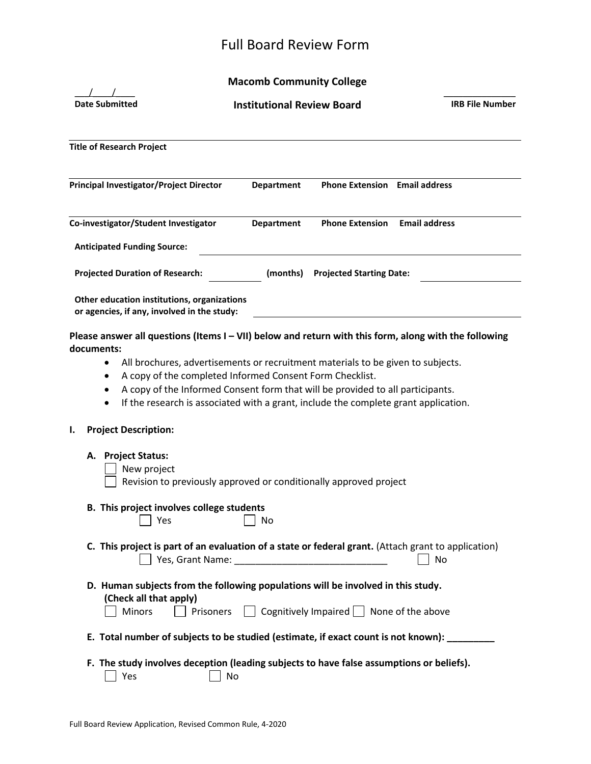# Full Board Review Form

## **Macomb Community College**

| <b>Date Submitted</b>                                                                      | <b>Institutional Review Board</b>                                                                                                                                                                                                                                                                                    | <b>IRB File Number</b> |
|--------------------------------------------------------------------------------------------|----------------------------------------------------------------------------------------------------------------------------------------------------------------------------------------------------------------------------------------------------------------------------------------------------------------------|------------------------|
| <b>Title of Research Project</b>                                                           |                                                                                                                                                                                                                                                                                                                      |                        |
| <b>Principal Investigator/Project Director</b>                                             | <b>Department</b><br><b>Phone Extension</b> Email address                                                                                                                                                                                                                                                            |                        |
| Co-investigator/Student Investigator                                                       | <b>Phone Extension</b><br><b>Department</b>                                                                                                                                                                                                                                                                          | <b>Email address</b>   |
| <b>Anticipated Funding Source:</b>                                                         |                                                                                                                                                                                                                                                                                                                      |                        |
| <b>Projected Duration of Research:</b>                                                     | (months)<br><b>Projected Starting Date:</b>                                                                                                                                                                                                                                                                          |                        |
| Other education institutions, organizations<br>or agencies, if any, involved in the study: |                                                                                                                                                                                                                                                                                                                      |                        |
| $\bullet$<br>٠<br>٠<br><b>Project Description:</b><br>ı.                                   | All brochures, advertisements or recruitment materials to be given to subjects.<br>A copy of the completed Informed Consent Form Checklist.<br>A copy of the Informed Consent form that will be provided to all participants.<br>If the research is associated with a grant, include the complete grant application. |                        |
| <b>Project Status:</b><br>А.<br>New project                                                | Revision to previously approved or conditionally approved project                                                                                                                                                                                                                                                    |                        |
| B. This project involves college students<br>Yes                                           | No                                                                                                                                                                                                                                                                                                                   |                        |
|                                                                                            | C. This project is part of an evaluation of a state or federal grant. (Attach grant to application)                                                                                                                                                                                                                  | No                     |
| (Check all that apply)<br>Minors<br>Prisoners                                              | D. Human subjects from the following populations will be involved in this study.<br>$\Box$ Cognitively Impaired $\Box$ None of the above                                                                                                                                                                             |                        |
|                                                                                            | E. Total number of subjects to be studied (estimate, if exact count is not known): ________                                                                                                                                                                                                                          |                        |
| Yes                                                                                        | F. The study involves deception (leading subjects to have false assumptions or beliefs).<br>No                                                                                                                                                                                                                       |                        |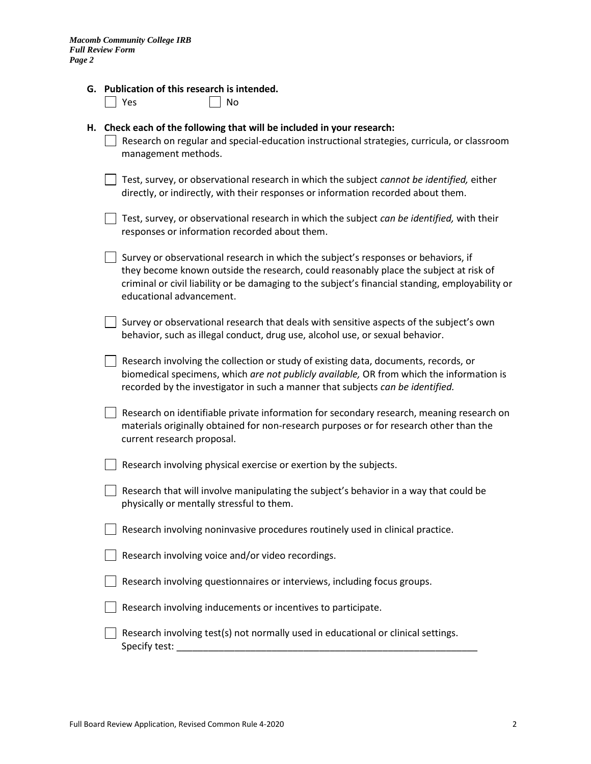|  | G. Publication of this research is intended. |  |  |  |  |
|--|----------------------------------------------|--|--|--|--|
|--|----------------------------------------------|--|--|--|--|

#### **H. Check each of the following that will be included in your research:**

l I No

- $\Box$  Research on regular and special-education instructional strategies, curricula, or classroom management methods.
- Test, survey, or observational research in which the subject *cannot be identified,* either directly, or indirectly, with their responses or information recorded about them.

| $\Box$ Test, survey, or observational research in which the subject can be identified, with their |  |
|---------------------------------------------------------------------------------------------------|--|
| responses or information recorded about them.                                                     |  |

- $\Box$  Survey or observational research in which the subject's responses or behaviors, if they become known outside the research, could reasonably place the subject at risk of criminal or civil liability or be damaging to the subject's financial standing, employability or educational advancement.
- $\vert \ \vert$  Survey or observational research that deals with sensitive aspects of the subject's own behavior, such as illegal conduct, drug use, alcohol use, or sexual behavior.
- $\Box$  Research involving the collection or study of existing data, documents, records, or biomedical specimens, which *are not publicly available,* OR from which the information is recorded by the investigator in such a manner that subjects *can be identified.*
- $\Box$  Research on identifiable private information for secondary research, meaning research on materials originally obtained for non-research purposes or for research other than the current research proposal.
- $\Box$  Research involving physical exercise or exertion by the subjects.
- $\Box$  Research that will involve manipulating the subject's behavior in a way that could be physically or mentally stressful to them.

| Research involving noninvasive procedures routinely used in clinical practice. |
|--------------------------------------------------------------------------------|
|--------------------------------------------------------------------------------|

| Research involving voice and/or video recordings. |  |  |  |  |  |  |  |
|---------------------------------------------------|--|--|--|--|--|--|--|
|---------------------------------------------------|--|--|--|--|--|--|--|

- Research involving questionnaires or interviews, including focus groups.
- Research involving inducements or incentives to participate.
- $\vert \ \vert$  Research involving test(s) not normally used in educational or clinical settings. Specify test: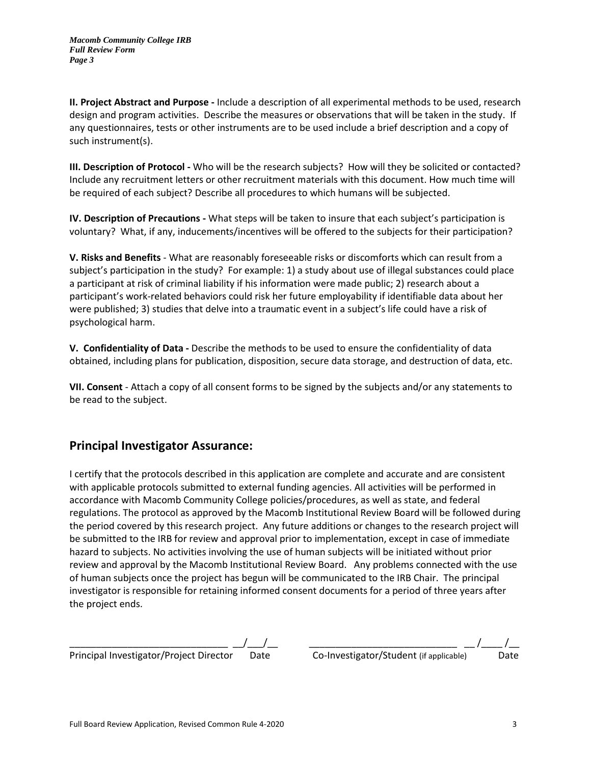**II. Project Abstract and Purpose -** Include a description of all experimental methods to be used, research design and program activities. Describe the measures or observations that will be taken in the study. If any questionnaires, tests or other instruments are to be used include a brief description and a copy of such instrument(s).

**III. Description of Protocol -** Who will be the research subjects? How will they be solicited or contacted? Include any recruitment letters or other recruitment materials with this document. How much time will be required of each subject? Describe all procedures to which humans will be subjected.

**IV. Description of Precautions -** What steps will be taken to insure that each subject's participation is voluntary? What, if any, inducements/incentives will be offered to the subjects for their participation?

**V. Risks and Benefits** - What are reasonably foreseeable risks or discomforts which can result from a subject's participation in the study? For example: 1) a study about use of illegal substances could place a participant at risk of criminal liability if his information were made public; 2) research about a participant's work-related behaviors could risk her future employability if identifiable data about her were published; 3) studies that delve into a traumatic event in a subject's life could have a risk of psychological harm.

**V. Confidentiality of Data -** Describe the methods to be used to ensure the confidentiality of data obtained, including plans for publication, disposition, secure data storage, and destruction of data, etc.

**VII. Consent** - Attach a copy of all consent forms to be signed by the subjects and/or any statements to be read to the subject.

### **Principal Investigator Assurance:**

I certify that the protocols described in this application are complete and accurate and are consistent with applicable protocols submitted to external funding agencies. All activities will be performed in accordance with Macomb Community College policies/procedures, as well as state, and federal regulations. The protocol as approved by the Macomb Institutional Review Board will be followed during the period covered by this research project. Any future additions or changes to the research project will be submitted to the IRB for review and approval prior to implementation, except in case of immediate hazard to subjects. No activities involving the use of human subjects will be initiated without prior review and approval by the Macomb Institutional Review Board. Any problems connected with the use of human subjects once the project has begun will be communicated to the IRB Chair. The principal investigator is responsible for retaining informed consent documents for a period of three years after the project ends.

\_\_\_\_\_\_\_\_\_\_\_\_\_\_\_\_\_\_\_\_\_\_\_\_\_\_\_\_\_\_ \_\_/\_\_\_/\_\_ \_\_\_\_\_\_\_\_\_\_\_\_\_\_\_\_\_\_\_\_\_\_\_\_\_\_\_\_ \_\_ /\_\_\_\_ /\_\_ Principal Investigator/Project Director Date Co-Investigator/Student (if applicable) Date